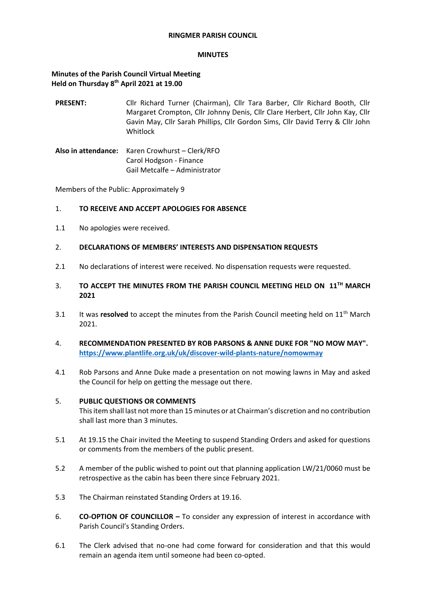### **RINGMER PARISH COUNCIL**

#### **MINUTES**

# **Minutes of the Parish Council Virtual Meeting Held on Thursday 8 th April 2021 at 19.00**

- **PRESENT:** Cllr Richard Turner (Chairman), Cllr Tara Barber, Cllr Richard Booth, Cllr Margaret Crompton, Cllr Johnny Denis, Cllr Clare Herbert, Cllr John Kay, Cllr Gavin May, Cllr Sarah Phillips, Cllr Gordon Sims, Cllr David Terry & Cllr John Whitlock
- **Also in attendance:** Karen Crowhurst Clerk/RFO Carol Hodgson - Finance Gail Metcalfe – Administrator

Members of the Public: Approximately 9

## 1. **TO RECEIVE AND ACCEPT APOLOGIES FOR ABSENCE**

- 1.1 No apologies were received.
- 2. **DECLARATIONS OF MEMBERS' INTERESTS AND DISPENSATION REQUESTS**
- 2.1 No declarations of interest were received. No dispensation requests were requested.

## 3. **TO ACCEPT THE MINUTES FROM THE PARISH COUNCIL MEETING HELD ON 11TH MARCH 2021**

- 3.1 It was **resolved** to accept the minutes from the Parish Council meeting held on 11<sup>th</sup> March 2021.
- 4. **RECOMMENDATION PRESENTED BY ROB PARSONS & ANNE DUKE FOR "NO MOW MAY". <https://www.plantlife.org.uk/uk/discover-wild-plants-nature/nomowmay>**
- 4.1 Rob Parsons and Anne Duke made a presentation on not mowing lawns in May and asked the Council for help on getting the message out there.

## 5. **PUBLIC QUESTIONS OR COMMENTS**

This item shall last not more than 15 minutes or at Chairman's discretion and no contribution shall last more than 3 minutes.

- 5.1 At 19.15 the Chair invited the Meeting to suspend Standing Orders and asked for questions or comments from the members of the public present.
- 5.2 A member of the public wished to point out that planning application LW/21/0060 must be retrospective as the cabin has been there since February 2021.
- 5.3 The Chairman reinstated Standing Orders at 19.16.
- 6. **CO-OPTION OF COUNCILLOR –** To consider any expression of interest in accordance with Parish Council's Standing Orders.
- 6.1 The Clerk advised that no-one had come forward for consideration and that this would remain an agenda item until someone had been co-opted.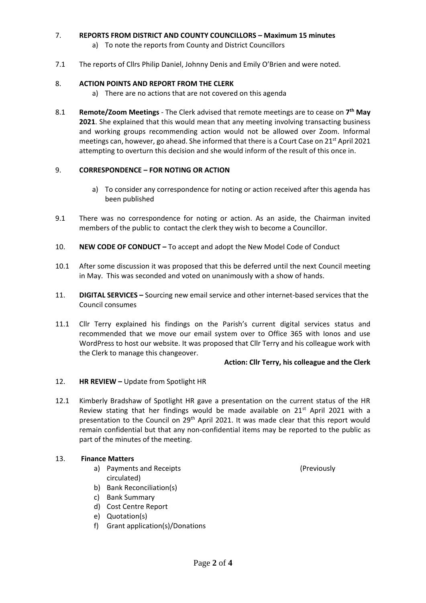# 7. **REPORTS FROM DISTRICT AND COUNTY COUNCILLORS – Maximum 15 minutes**

- a) To note the reports from County and District Councillors
- 7.1 The reports of Cllrs Philip Daniel, Johnny Denis and Emily O'Brien and were noted.

## 8. **ACTION POINTS AND REPORT FROM THE CLERK**

- a) There are no actions that are not covered on this agenda
- 8.1 **Remote/Zoom Meetings** The Clerk advised that remote meetings are to cease on **7 th May 2021**. She explained that this would mean that any meeting involving transacting business and working groups recommending action would not be allowed over Zoom. Informal meetings can, however, go ahead. She informed that there is a Court Case on 21<sup>st</sup> April 2021 attempting to overturn this decision and she would inform of the result of this once in.

## 9. **CORRESPONDENCE – FOR NOTING OR ACTION**

- a) To consider any correspondence for noting or action received after this agenda has been published
- 9.1 There was no correspondence for noting or action. As an aside, the Chairman invited members of the public to contact the clerk they wish to become a Councillor.
- 10. **NEW CODE OF CONDUCT –** To accept and adopt the New Model Code of Conduct
- 10.1 After some discussion it was proposed that this be deferred until the next Council meeting in May. This was seconded and voted on unanimously with a show of hands.
- 11. **DIGITAL SERVICES –** Sourcing new email service and other internet-based services that the Council consumes
- 11.1 Cllr Terry explained his findings on the Parish's current digital services status and recommended that we move our email system over to Office 365 with Ionos and use WordPress to host our website. It was proposed that Cllr Terry and his colleague work with the Clerk to manage this changeover.

## **Action: Cllr Terry, his colleague and the Clerk**

## 12. **HR REVIEW –** Update from Spotlight HR

12.1 Kimberly Bradshaw of Spotlight HR gave a presentation on the current status of the HR Review stating that her findings would be made available on 21<sup>st</sup> April 2021 with a presentation to the Council on 29<sup>th</sup> April 2021. It was made clear that this report would remain confidential but that any non-confidential items may be reported to the public as part of the minutes of the meeting.

## 13. **Finance Matters**

- a) Payments and Receipts (Previously circulated)
- b) Bank Reconciliation(s)
- c) Bank Summary
- d) Cost Centre Report
- e) Quotation(s)
- f) Grant application(s)/Donations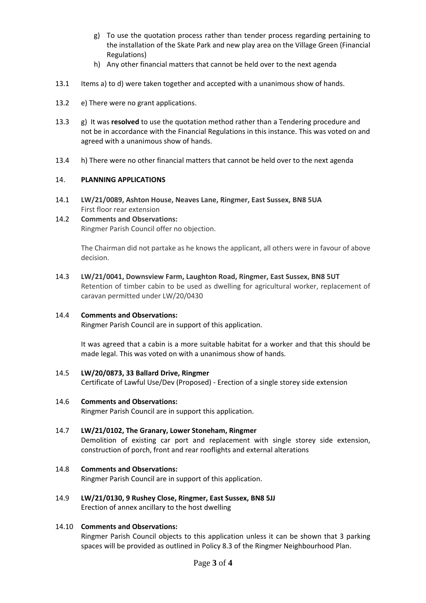- g) To use the quotation process rather than tender process regarding pertaining to the installation of the Skate Park and new play area on the Village Green (Financial Regulations)
- h) Any other financial matters that cannot be held over to the next agenda
- 13.1 Items a) to d) were taken together and accepted with a unanimous show of hands.
- 13.2 e) There were no grant applications.
- 13.3 g) It was **resolved** to use the quotation method rather than a Tendering procedure and not be in accordance with the Financial Regulations in this instance. This was voted on and agreed with a unanimous show of hands.
- 13.4 h) There were no other financial matters that cannot be held over to the next agenda

## 14. **PLANNING APPLICATIONS**

14.1 **LW/21/0089, Ashton House, Neaves Lane, Ringmer, East Sussex, BN8 5UA** First floor rear extension

# 14.2 **Comments and Observations:** Ringmer Parish Council offer no objection.

The Chairman did not partake as he knows the applicant, all others were in favour of above decision.

14.3 **LW/21/0041, Downsview Farm, Laughton Road, Ringmer, East Sussex, BN8 5UT** Retention of timber cabin to be used as dwelling for agricultural worker, replacement of caravan permitted under LW/20/0430

## 14.4 **Comments and Observations:**

Ringmer Parish Council are in support of this application.

It was agreed that a cabin is a more suitable habitat for a worker and that this should be made legal. This was voted on with a unanimous show of hands.

14.5 **LW/20/0873, 33 Ballard Drive, Ringmer**  Certificate of Lawful Use/Dev (Proposed) - Erection of a single storey side extension

# 14.6 **Comments and Observations:**

Ringmer Parish Council are in support this application.

## 14.7 **LW/21/0102, The Granary, Lower Stoneham, Ringmer**

Demolition of existing car port and replacement with single storey side extension, construction of porch, front and rear rooflights and external alterations

# 14.8 **Comments and Observations:**

Ringmer Parish Council are in support of this application.

## 14.9 **LW/21/0130, 9 Rushey Close, Ringmer, East Sussex, BN8 5JJ** Erection of annex ancillary to the host dwelling

# 14.10 **Comments and Observations:**

Ringmer Parish Council objects to this application unless it can be shown that 3 parking spaces will be provided as outlined in Policy 8.3 of the Ringmer Neighbourhood Plan.